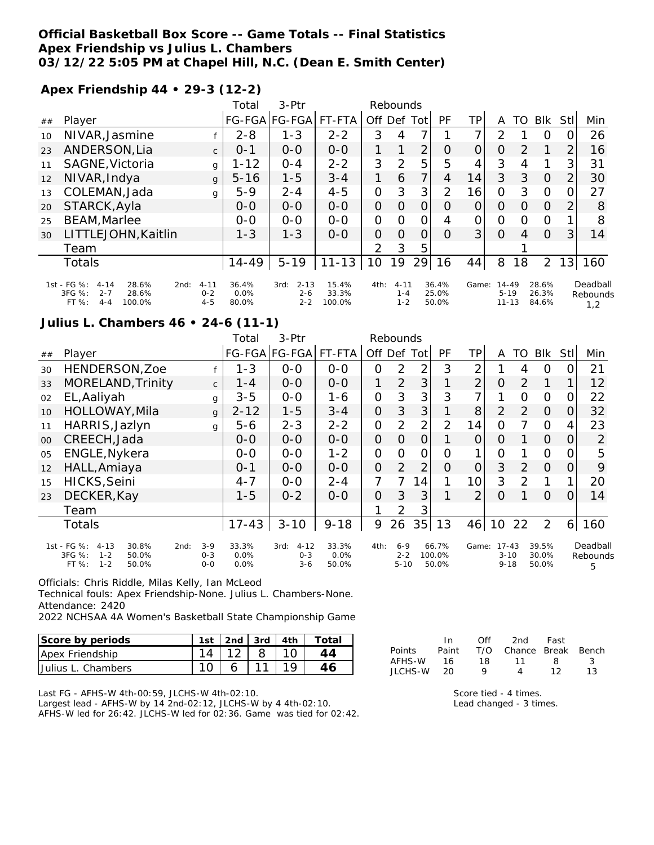## **Official Basketball Box Score -- Game Totals -- Final Statistics Apex Friendship vs Julius L. Chambers 03/12/22 5:05 PM at Chapel Hill, N.C. (Dean E. Smith Center)**

**Apex Friendship 44 • 29-3 (12-2)**

|    |                                                                                                        |                                | Total                     | $3-Ptr$                                |                          |      | Rebounds                       |                |                         |                |                                    |          |                         |     |                             |
|----|--------------------------------------------------------------------------------------------------------|--------------------------------|---------------------------|----------------------------------------|--------------------------|------|--------------------------------|----------------|-------------------------|----------------|------------------------------------|----------|-------------------------|-----|-----------------------------|
| ## | Player                                                                                                 |                                |                           | FG-FGA FG-FGA                          | FT-FTA                   | Off  |                                | Def Tot        | PF                      | ΤP             | A                                  | TO       | <b>BIK</b>              | Stl | Min                         |
| 10 | NIVAR, Jasmine                                                                                         |                                | $2 - 8$                   | $1 - 3$                                | $2 - 2$                  | 3    | 4                              | 7              |                         | 7 <sub>1</sub> | 2                                  |          | $\Omega$                |     | 26                          |
| 23 | ANDERSON, Lia                                                                                          | $\mathsf{C}$                   | $0 - 1$                   | $0-0$                                  | $0-0$                    |      | 1                              | 2 <sub>1</sub> | $\Omega$                | 0              | O                                  | 2        |                         | 2   | 16                          |
| 11 | SAGNE, Victoria                                                                                        | g                              | $1 - 12$                  | $0 - 4$                                | $2 - 2$                  | 3    | 2                              | 5              | 5                       | 4              | 3                                  | 4        |                         | 3   | 31                          |
| 12 | NIVAR, Indya                                                                                           | g                              | $5 - 16$                  | $1 - 5$                                | $3 - 4$                  | 1    | 6                              | $\overline{7}$ | 4                       | 14             | 3                                  | 3        | $\Omega$                | 2   | 30                          |
| 13 | COLEMAN, Jada                                                                                          | g                              | $5-9$                     | $2 - 4$                                | $4 - 5$                  | 0    | 3                              | 3 <sub>l</sub> | 2                       | 16             | 0                                  | 3        | $\Omega$                | O   | 27                          |
| 20 | STARCK, Ayla                                                                                           |                                | $0 - 0$                   | $0 - 0$                                | $0 - 0$                  | 0    | Ο                              | Ο              | O                       | 0              | O                                  | $\Omega$ | $\Omega$                | 2   | 8                           |
| 25 | <b>BEAM, Marlee</b>                                                                                    |                                | $0 - 0$                   | $0 - 0$                                | $0 - 0$                  | 0    | $\Omega$                       | ∩              | 4                       | 0              | 0                                  | $\Omega$ | $\Omega$                |     | 8                           |
| 30 | LITTLEJOHN, Kaitlin                                                                                    |                                | $1 - 3$                   | $1 - 3$                                | $O-O$                    | O    | Ω                              | 0              | 0                       | 3              | $\Omega$                           | 4        | $\Omega$                | 3   | 14                          |
|    | Team                                                                                                   |                                |                           |                                        |                          | 2    | 3                              | 5              |                         |                |                                    |          |                         |     |                             |
|    | Totals                                                                                                 |                                | $14 - 49$                 | $5 - 19$                               | $11 - 13$                | 10   | 19                             | 29             | 16                      | 44             | 8                                  | 18       | $\overline{2}$          | 131 | 160                         |
|    | 1st - FG %:<br>28.6%<br>$4 - 14$<br>2nd:<br>$3FG \%$<br>$2 - 7$<br>28.6%<br>100.0%<br>FT %:<br>$4 - 4$ | $4 - 11$<br>$0 - 2$<br>$4 - 5$ | 36.4%<br>$0.0\%$<br>80.0% | $2 - 13$<br>3rd:<br>$2 - 6$<br>$2 - 2$ | 15.4%<br>33.3%<br>100.0% | 4th: | $4 - 11$<br>$1 - 4$<br>$1 - 2$ |                | 36.4%<br>25.0%<br>50.0% | Game:          | $14 - 49$<br>$5 - 19$<br>$11 - 13$ |          | 28.6%<br>26.3%<br>84.6% |     | Deadball<br>Rebounds<br>1,2 |

# **Julius L. Chambers 46 • 24-6 (11-1)**

|        |                                                                                                     |                               | Total                 | 3-Ptr                                  |                        |                | Rebounds                       |                |                          |                |                                   |    |                         |          |                           |
|--------|-----------------------------------------------------------------------------------------------------|-------------------------------|-----------------------|----------------------------------------|------------------------|----------------|--------------------------------|----------------|--------------------------|----------------|-----------------------------------|----|-------------------------|----------|---------------------------|
| $\#\#$ | Player                                                                                              |                               |                       | FG-FGA FG-FGA                          | FT-FTA                 | Off Def        |                                | Tot            | PF                       | TP.            | Α                                 | TO | <b>BIK</b>              | Stll     | Min                       |
| 30     | HENDERSON, Zoe                                                                                      |                               | $1 - 3$               | $O-O$                                  | $0-0$                  | 0              | $\overline{2}$                 | $\overline{2}$ | 3                        | 2              |                                   | 4  | 0                       | ი        | 21                        |
| 33     | MORELAND, Trinity                                                                                   | $\mathsf{C}$                  | $1 - 4$               | $0 - 0$                                | $0-0$                  | 1              | 2                              | 3              | 1                        | $\overline{2}$ | 0                                 | 2  | 1                       |          | 12                        |
| 02     | EL, Aaliyah                                                                                         | g                             | $3 - 5$               | $O-O$                                  | $1 - 6$                | $\overline{O}$ | 3                              | 3              | 3                        | 7              | 1                                 | O  | $\overline{O}$          | Ο        | 22                        |
| 10     | HOLLOWAY, Mila                                                                                      | g                             | $2 - 12$              | $1 - 5$                                | $3 - 4$                | $\overline{O}$ | 3                              | 3              | 1                        | 8              | $\overline{2}$                    | 2  | $\Omega$                | 0        | 32                        |
| 11     | HARRIS, Jazlyn                                                                                      | g                             | $5 - 6$               | $2 - 3$                                | $2 - 2$                | $\overline{O}$ | 2                              | $\overline{2}$ | 2                        | 14             | $\Omega$                          | 7  | $\Omega$                | 4        | 23                        |
| $00\,$ | CREECH, Jada                                                                                        |                               | $O-O$                 | $0-0$                                  | $0 - 0$                | $\overline{O}$ | $\Omega$                       | $\overline{O}$ | 1                        | 0              | 0                                 |    | $\Omega$                | 0        | $\overline{2}$            |
| 05     | ENGLE, Nykera                                                                                       |                               | $0 - 0$               | $0 - 0$                                | $1 - 2$                | $\mathcal{O}$  | O                              | 0              | 0                        |                | 0                                 |    | $\Omega$                |          | 5                         |
| 12     | HALL, Amiaya                                                                                        |                               | $0 - 1$               | $0 - 0$                                | $0 - 0$                | $\overline{O}$ | 2                              | $\overline{2}$ | $\Omega$                 | O              | 3                                 | 2  | $\Omega$                | $\Omega$ | 9                         |
| 15     | HICKS, Seini                                                                                        |                               | $4 - 7$               | $0-0$                                  | $2 - 4$                | 7              | 7                              | 14             | 1                        | 10             | 3                                 | 2  | 1                       |          | 20                        |
| 23     | DECKER, Kay                                                                                         |                               | $1 - 5$               | $0 - 2$                                | $0 - 0$                | $\overline{O}$ | 3                              | 3              | 1                        | $\overline{2}$ | 0                                 |    | $\Omega$                | 0        | 14                        |
|        | Team                                                                                                |                               |                       |                                        |                        |                | 2                              | 3              |                          |                |                                   |    |                         |          |                           |
|        | <b>Totals</b>                                                                                       |                               | $17 - 43$             | $3 - 10$                               | $9 - 18$               | 9              | 26                             | 35             | 13                       | 46             | 10                                | 22 | 2                       | 6        | 160                       |
|        | 1st - FG %:<br>30.8%<br>$4 - 13$<br>2nd:<br>3FG %:<br>$1 - 2$<br>50.0%<br>$1 - 2$<br>FT %:<br>50.0% | $3 - 9$<br>$0 - 3$<br>$0 - 0$ | 33.3%<br>0.0%<br>0.0% | $4 - 12$<br>3rd:<br>$O - 3$<br>$3 - 6$ | 33.3%<br>0.0%<br>50.0% | 4th:           | $6 - 9$<br>$2 - 2$<br>$5 - 10$ |                | 66.7%<br>100.0%<br>50.0% | Game:          | $17 - 43$<br>$3 - 10$<br>$9 - 18$ |    | 39.5%<br>30.0%<br>50.0% |          | Deadball<br>Rebounds<br>5 |

Officials: Chris Riddle, Milas Kelly, Ian McLeod

Technical fouls: Apex Friendship-None. Julius L. Chambers-None. Attendance: 2420

2022 NCHSAA 4A Women's Basketball State Championship Game

| Score by periods   |  |   | 1st 2nd 3rd 4th Total |
|--------------------|--|---|-----------------------|
| Apex Friendship    |  | 8 |                       |
| Uulius L. Chambers |  |   |                       |

|               | In.   | ∩ff | 2nd -                  | Fast |    |
|---------------|-------|-----|------------------------|------|----|
| <b>Points</b> | Paint |     | T/O Chance Break Bench |      |    |
| AFHS-W        | 16.   | 18. | -11                    | 8    | -3 |
| JI CHS-W      | 20.   | o   |                        |      | 13 |

Last FG - AFHS-W 4th-00:59, JLCHS-W 4th-02:10.

Largest lead - AFHS-W by 14 2nd-02:12, JLCHS-W by 4 4th-02:10. AFHS-W led for 26:42. JLCHS-W led for 02:36. Game was tied for 02:42. Score tied - 4 times. Lead changed - 3 times.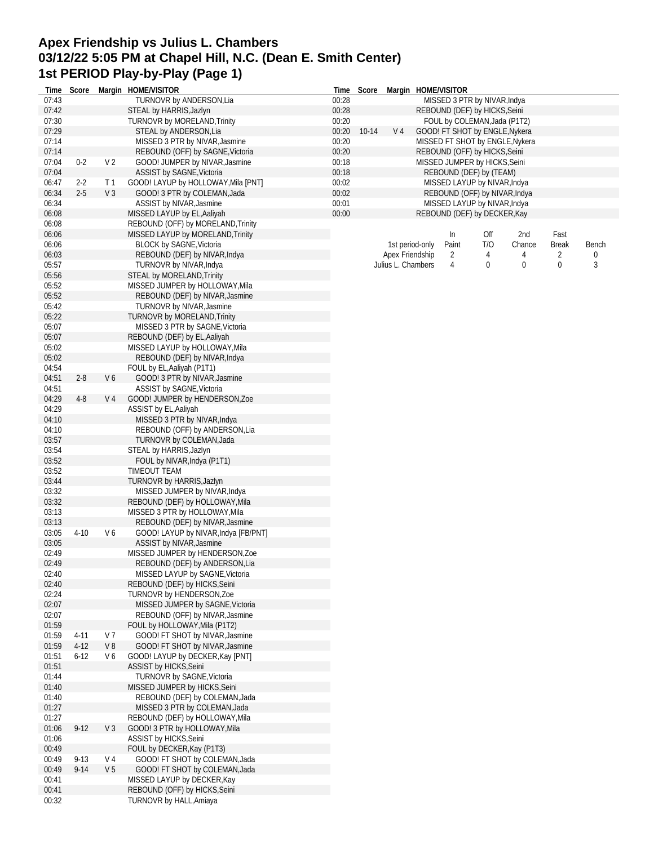# **Apex Friendship vs Julius L. Chambers 03/12/22 5:05 PM at Chapel Hill, N.C. (Dean E. Smith Center) 1st PERIOD Play-by-Play (Page 1)**

|                | Time Score         |                | Margin HOME/VISITOR                                                     |                | Time Score |                | Margin HOME/VISITOR |                                                                |     |                                 |              |       |
|----------------|--------------------|----------------|-------------------------------------------------------------------------|----------------|------------|----------------|---------------------|----------------------------------------------------------------|-----|---------------------------------|--------------|-------|
| 07:43          |                    |                | TURNOVR by ANDERSON, Lia                                                | 00:28          |            |                |                     | MISSED 3 PTR by NIVAR, Indya                                   |     |                                 |              |       |
| 07:42          |                    |                | STEAL by HARRIS, Jazlyn<br>TURNOVR by MORELAND, Trinity                 | 00:28          |            |                |                     | REBOUND (DEF) by HICKS, Seini                                  |     |                                 |              |       |
| 07:30<br>07:29 |                    |                | STEAL by ANDERSON, Lia                                                  | 00:20<br>00:20 | $10 - 14$  | V <sub>4</sub> |                     | FOUL by COLEMAN, Jada (P1T2)<br>GOOD! FT SHOT by ENGLE, Nykera |     |                                 |              |       |
| 07:14          |                    |                | MISSED 3 PTR by NIVAR, Jasmine                                          | 00:20          |            |                |                     |                                                                |     | MISSED FT SHOT by ENGLE, Nykera |              |       |
| 07:14          |                    |                | REBOUND (OFF) by SAGNE, Victoria                                        | 00:20          |            |                |                     | REBOUND (OFF) by HICKS, Seini                                  |     |                                 |              |       |
| 07:04          | $0 - 2$            | V <sub>2</sub> | GOOD! JUMPER by NIVAR, Jasmine                                          | 00:18          |            |                |                     | MISSED JUMPER by HICKS, Seini                                  |     |                                 |              |       |
| 07:04          |                    |                | ASSIST by SAGNE, Victoria                                               | 00:18          |            |                |                     | REBOUND (DEF) by (TEAM)                                        |     |                                 |              |       |
| 06:47          | $2 - 2$            | T <sub>1</sub> | GOOD! LAYUP by HOLLOWAY, Mila [PNT]                                     | 00:02          |            |                |                     | MISSED LAYUP by NIVAR, Indya                                   |     |                                 |              |       |
| 06:34          | $2 - 5$            | V <sub>3</sub> | GOOD! 3 PTR by COLEMAN, Jada                                            | 00:02          |            |                |                     | REBOUND (OFF) by NIVAR, Indya                                  |     |                                 |              |       |
| 06:34<br>06:08 |                    |                | ASSIST by NIVAR, Jasmine<br>MISSED LAYUP by EL, Aaliyah                 | 00:01<br>00:00 |            |                |                     | MISSED LAYUP by NIVAR, Indya                                   |     |                                 |              |       |
| 06:08          |                    |                | REBOUND (OFF) by MORELAND, Trinity                                      |                |            |                |                     | REBOUND (DEF) by DECKER, Kay                                   |     |                                 |              |       |
| 06:06          |                    |                | MISSED LAYUP by MORELAND, Trinity                                       |                |            |                |                     | In                                                             | Off | 2nd                             | Fast         |       |
| 06:06          |                    |                | BLOCK by SAGNE, Victoria                                                |                |            |                | 1st period-only     | Paint                                                          | T/O | Chance                          | <b>Break</b> | Bench |
| 06:03          |                    |                | REBOUND (DEF) by NIVAR, Indya                                           |                |            |                | Apex Friendship     | $\overline{2}$                                                 | 4   | 4                               | 2            | 0     |
| 05:57          |                    |                | TURNOVR by NIVAR, Indya                                                 |                |            |                | Julius L. Chambers  | 4                                                              | 0   | 0                               | 0            | 3     |
| 05:56          |                    |                | STEAL by MORELAND, Trinity                                              |                |            |                |                     |                                                                |     |                                 |              |       |
| 05:52          |                    |                | MISSED JUMPER by HOLLOWAY, Mila                                         |                |            |                |                     |                                                                |     |                                 |              |       |
| 05:52<br>05:42 |                    |                | REBOUND (DEF) by NIVAR, Jasmine                                         |                |            |                |                     |                                                                |     |                                 |              |       |
| 05:22          |                    |                | <b>TURNOVR by NIVAR, Jasmine</b><br><b>TURNOVR by MORELAND, Trinity</b> |                |            |                |                     |                                                                |     |                                 |              |       |
| 05:07          |                    |                | MISSED 3 PTR by SAGNE, Victoria                                         |                |            |                |                     |                                                                |     |                                 |              |       |
| 05:07          |                    |                | REBOUND (DEF) by EL, Aaliyah                                            |                |            |                |                     |                                                                |     |                                 |              |       |
| 05:02          |                    |                | MISSED LAYUP by HOLLOWAY, Mila                                          |                |            |                |                     |                                                                |     |                                 |              |       |
| 05:02          |                    |                | REBOUND (DEF) by NIVAR, Indya                                           |                |            |                |                     |                                                                |     |                                 |              |       |
| 04:54          |                    |                | FOUL by EL, Aaliyah (P1T1)                                              |                |            |                |                     |                                                                |     |                                 |              |       |
| 04:51          | $2 - 8$            | V6             | GOOD! 3 PTR by NIVAR, Jasmine                                           |                |            |                |                     |                                                                |     |                                 |              |       |
| 04:51<br>04:29 | $4 - 8$            |                | ASSIST by SAGNE, Victoria<br>GOOD! JUMPER by HENDERSON, Zoe             |                |            |                |                     |                                                                |     |                                 |              |       |
| 04:29          |                    | V 4            | ASSIST by EL, Aaliyah                                                   |                |            |                |                     |                                                                |     |                                 |              |       |
| 04:10          |                    |                | MISSED 3 PTR by NIVAR, Indya                                            |                |            |                |                     |                                                                |     |                                 |              |       |
| 04:10          |                    |                | REBOUND (OFF) by ANDERSON, Lia                                          |                |            |                |                     |                                                                |     |                                 |              |       |
| 03:57          |                    |                | TURNOVR by COLEMAN, Jada                                                |                |            |                |                     |                                                                |     |                                 |              |       |
| 03:54          |                    |                | STEAL by HARRIS, Jazlyn                                                 |                |            |                |                     |                                                                |     |                                 |              |       |
| 03:52          |                    |                | FOUL by NIVAR, Indya (P1T1)                                             |                |            |                |                     |                                                                |     |                                 |              |       |
| 03:52<br>03:44 |                    |                | TIMEOUT TEAM                                                            |                |            |                |                     |                                                                |     |                                 |              |       |
| 03:32          |                    |                | TURNOVR by HARRIS, Jazlyn<br>MISSED JUMPER by NIVAR, Indya              |                |            |                |                     |                                                                |     |                                 |              |       |
| 03:32          |                    |                | REBOUND (DEF) by HOLLOWAY, Mila                                         |                |            |                |                     |                                                                |     |                                 |              |       |
| 03:13          |                    |                | MISSED 3 PTR by HOLLOWAY, Mila                                          |                |            |                |                     |                                                                |     |                                 |              |       |
| 03:13          |                    |                | REBOUND (DEF) by NIVAR, Jasmine                                         |                |            |                |                     |                                                                |     |                                 |              |       |
| 03:05          | $4 - 10$           | V6             | GOOD! LAYUP by NIVAR, Indya [FB/PNT]                                    |                |            |                |                     |                                                                |     |                                 |              |       |
| 03:05          |                    |                | ASSIST by NIVAR, Jasmine                                                |                |            |                |                     |                                                                |     |                                 |              |       |
| 02:49          |                    |                | MISSED JUMPER by HENDERSON, Zoe<br>REBOUND (DEF) by ANDERSON, Lia       |                |            |                |                     |                                                                |     |                                 |              |       |
| 02:49<br>02:40 |                    |                | MISSED LAYUP by SAGNE, Victoria                                         |                |            |                |                     |                                                                |     |                                 |              |       |
| 02:40          |                    |                | REBOUND (DEF) by HICKS, Seini                                           |                |            |                |                     |                                                                |     |                                 |              |       |
| 02:24          |                    |                | TURNOVR by HENDERSON, Zoe                                               |                |            |                |                     |                                                                |     |                                 |              |       |
| 02:07          |                    |                | MISSED JUMPER by SAGNE, Victoria                                        |                |            |                |                     |                                                                |     |                                 |              |       |
| 02:07          |                    |                | REBOUND (OFF) by NIVAR, Jasmine                                         |                |            |                |                     |                                                                |     |                                 |              |       |
| 01:59          |                    |                | FOUL by HOLLOWAY, Mila (P1T2)                                           |                |            |                |                     |                                                                |     |                                 |              |       |
| 01:59          | 4-11               | V 7            | GOOD! FT SHOT by NIVAR, Jasmine                                         |                |            |                |                     |                                                                |     |                                 |              |       |
| 01:59<br>01:51 | $4-12$<br>$6 - 12$ | V8<br>V6       | GOOD! FT SHOT by NIVAR, Jasmine<br>GOOD! LAYUP by DECKER, Kay [PNT]     |                |            |                |                     |                                                                |     |                                 |              |       |
| 01:51          |                    |                | ASSIST by HICKS, Seini                                                  |                |            |                |                     |                                                                |     |                                 |              |       |
| 01:44          |                    |                | TURNOVR by SAGNE, Victoria                                              |                |            |                |                     |                                                                |     |                                 |              |       |
| 01:40          |                    |                | MISSED JUMPER by HICKS, Seini                                           |                |            |                |                     |                                                                |     |                                 |              |       |
| 01:40          |                    |                | REBOUND (DEF) by COLEMAN, Jada                                          |                |            |                |                     |                                                                |     |                                 |              |       |
| 01:27          |                    |                | MISSED 3 PTR by COLEMAN, Jada                                           |                |            |                |                     |                                                                |     |                                 |              |       |
| 01:27          | $9 - 12$           |                | REBOUND (DEF) by HOLLOWAY, Mila                                         |                |            |                |                     |                                                                |     |                                 |              |       |
| 01:06<br>01:06 |                    | $V_3$          | GOOD! 3 PTR by HOLLOWAY, Mila<br>ASSIST by HICKS, Seini                 |                |            |                |                     |                                                                |     |                                 |              |       |
| 00:49          |                    |                | FOUL by DECKER, Kay (P1T3)                                              |                |            |                |                     |                                                                |     |                                 |              |       |
| 00:49          | $9 - 13$           | V 4            | GOOD! FT SHOT by COLEMAN, Jada                                          |                |            |                |                     |                                                                |     |                                 |              |       |
| 00:49          | $9 - 14$           | V <sub>5</sub> | GOOD! FT SHOT by COLEMAN, Jada                                          |                |            |                |                     |                                                                |     |                                 |              |       |
| 00:41          |                    |                | MISSED LAYUP by DECKER, Kay                                             |                |            |                |                     |                                                                |     |                                 |              |       |
| 00:41          |                    |                | REBOUND (OFF) by HICKS, Seini                                           |                |            |                |                     |                                                                |     |                                 |              |       |
| 00:32          |                    |                | TURNOVR by HALL, Amiaya                                                 |                |            |                |                     |                                                                |     |                                 |              |       |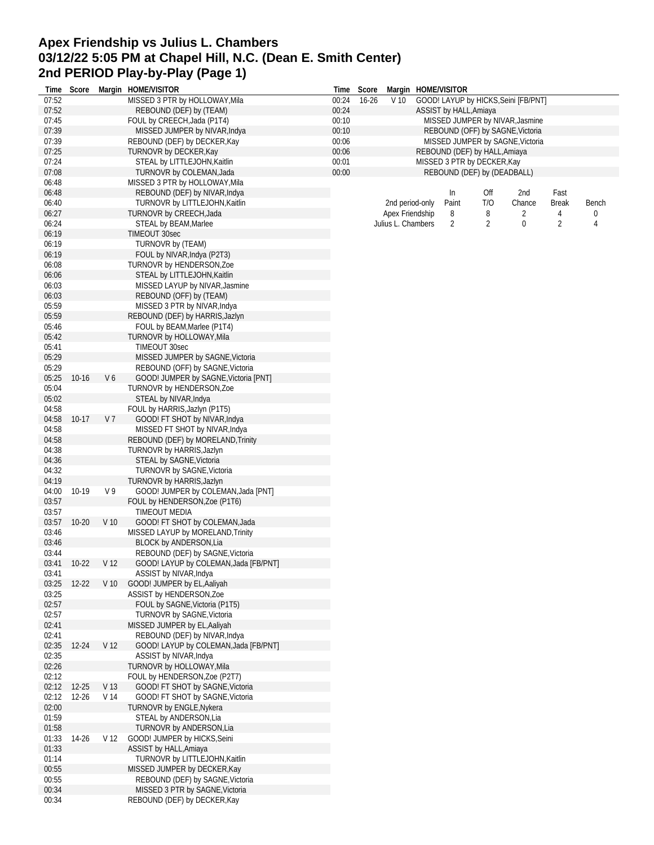# **Apex Friendship vs Julius L. Chambers 03/12/22 5:05 PM at Chapel Hill, N.C. (Dean E. Smith Center) 2nd PERIOD Play-by-Play (Page 1)**

|                | Time Score |                 | Margin HOME/VISITOR                                              |                | Time Score |                    | Margin HOME/VISITOR           |                |                                      |                |       |
|----------------|------------|-----------------|------------------------------------------------------------------|----------------|------------|--------------------|-------------------------------|----------------|--------------------------------------|----------------|-------|
| 07:52          |            |                 | MISSED 3 PTR by HOLLOWAY, Mila                                   | 00:24          | $16 - 26$  | V <sub>10</sub>    |                               |                | GOOD! LAYUP by HICKS, Seini [FB/PNT] |                |       |
| 07:52          |            |                 | REBOUND (DEF) by (TEAM)                                          | 00:24          |            |                    | ASSIST by HALL, Amiaya        |                |                                      |                |       |
| 07:45          |            |                 | FOUL by CREECH, Jada (P1T4)                                      | 00:10          |            |                    |                               |                | MISSED JUMPER by NIVAR, Jasmine      |                |       |
| 07:39          |            |                 | MISSED JUMPER by NIVAR, Indya                                    | 00:10          |            |                    |                               |                | REBOUND (OFF) by SAGNE, Victoria     |                |       |
| 07:39<br>07:25 |            |                 | REBOUND (DEF) by DECKER, Kay                                     | 00:06<br>00:06 |            |                    | REBOUND (DEF) by HALL, Amiaya |                | MISSED JUMPER by SAGNE, Victoria     |                |       |
| 07:24          |            |                 | TURNOVR by DECKER, Kay<br>STEAL by LITTLEJOHN, Kaitlin           | 00:01          |            |                    | MISSED 3 PTR by DECKER, Kay   |                |                                      |                |       |
| 07:08          |            |                 | TURNOVR by COLEMAN, Jada                                         | 00:00          |            |                    | REBOUND (DEF) by (DEADBALL)   |                |                                      |                |       |
| 06:48          |            |                 | MISSED 3 PTR by HOLLOWAY, Mila                                   |                |            |                    |                               |                |                                      |                |       |
| 06:48          |            |                 | REBOUND (DEF) by NIVAR, Indya                                    |                |            |                    | In                            | Off            | 2nd                                  | Fast           |       |
| 06:40          |            |                 | TURNOVR by LITTLEJOHN, Kaitlin                                   |                |            | 2nd period-only    | Paint                         | T/O            | Chance                               | <b>Break</b>   | Bench |
| 06:27          |            |                 | TURNOVR by CREECH, Jada                                          |                |            | Apex Friendship    | 8                             | 8              | 2                                    | 4              | 0     |
| 06:24          |            |                 | STEAL by BEAM, Marlee                                            |                |            | Julius L. Chambers | 2                             | $\overline{2}$ | 0                                    | $\overline{2}$ | 4     |
| 06:19          |            |                 | TIMEOUT 30sec                                                    |                |            |                    |                               |                |                                      |                |       |
| 06:19          |            |                 | TURNOVR by (TEAM)                                                |                |            |                    |                               |                |                                      |                |       |
| 06:19          |            |                 | FOUL by NIVAR, Indya (P2T3)                                      |                |            |                    |                               |                |                                      |                |       |
| 06:08          |            |                 | TURNOVR by HENDERSON, Zoe                                        |                |            |                    |                               |                |                                      |                |       |
| 06:06          |            |                 | STEAL by LITTLEJOHN, Kaitlin                                     |                |            |                    |                               |                |                                      |                |       |
| 06:03          |            |                 | MISSED LAYUP by NIVAR, Jasmine                                   |                |            |                    |                               |                |                                      |                |       |
| 06:03          |            |                 | REBOUND (OFF) by (TEAM)                                          |                |            |                    |                               |                |                                      |                |       |
| 05:59          |            |                 | MISSED 3 PTR by NIVAR, Indya                                     |                |            |                    |                               |                |                                      |                |       |
| 05:59          |            |                 | REBOUND (DEF) by HARRIS, Jazlyn                                  |                |            |                    |                               |                |                                      |                |       |
| 05:46<br>05:42 |            |                 | FOUL by BEAM, Marlee (P1T4)<br>TURNOVR by HOLLOWAY, Mila         |                |            |                    |                               |                |                                      |                |       |
| 05:41          |            |                 | TIMEOUT 30sec                                                    |                |            |                    |                               |                |                                      |                |       |
| 05:29          |            |                 | MISSED JUMPER by SAGNE, Victoria                                 |                |            |                    |                               |                |                                      |                |       |
| 05:29          |            |                 | REBOUND (OFF) by SAGNE, Victoria                                 |                |            |                    |                               |                |                                      |                |       |
| 05:25          | $10 - 16$  | V6              | GOOD! JUMPER by SAGNE, Victoria [PNT]                            |                |            |                    |                               |                |                                      |                |       |
| 05:04          |            |                 | TURNOVR by HENDERSON, Zoe                                        |                |            |                    |                               |                |                                      |                |       |
| 05:02          |            |                 | STEAL by NIVAR, Indya                                            |                |            |                    |                               |                |                                      |                |       |
| 04:58          |            |                 | FOUL by HARRIS, Jazlyn (P1T5)                                    |                |            |                    |                               |                |                                      |                |       |
| 04:58          | $10-17$    | V 7             | GOOD! FT SHOT by NIVAR, Indya                                    |                |            |                    |                               |                |                                      |                |       |
| 04:58          |            |                 | MISSED FT SHOT by NIVAR, Indya                                   |                |            |                    |                               |                |                                      |                |       |
| 04:58          |            |                 | REBOUND (DEF) by MORELAND, Trinity                               |                |            |                    |                               |                |                                      |                |       |
| 04:38          |            |                 | TURNOVR by HARRIS, Jazlyn                                        |                |            |                    |                               |                |                                      |                |       |
| 04:36          |            |                 | STEAL by SAGNE, Victoria                                         |                |            |                    |                               |                |                                      |                |       |
| 04:32          |            |                 | TURNOVR by SAGNE, Victoria                                       |                |            |                    |                               |                |                                      |                |       |
| 04:19<br>04:00 | 10-19      | V <sub>9</sub>  | TURNOVR by HARRIS, Jazlyn<br>GOOD! JUMPER by COLEMAN, Jada [PNT] |                |            |                    |                               |                |                                      |                |       |
| 03:57          |            |                 | FOUL by HENDERSON, Zoe (P1T6)                                    |                |            |                    |                               |                |                                      |                |       |
| 03:57          |            |                 | TIMEOUT MEDIA                                                    |                |            |                    |                               |                |                                      |                |       |
| 03:57          | $10 - 20$  | V <sub>10</sub> | GOOD! FT SHOT by COLEMAN, Jada                                   |                |            |                    |                               |                |                                      |                |       |
| 03:46          |            |                 | MISSED LAYUP by MORELAND, Trinity                                |                |            |                    |                               |                |                                      |                |       |
| 03:46          |            |                 | <b>BLOCK by ANDERSON, Lia</b>                                    |                |            |                    |                               |                |                                      |                |       |
| 03:44          |            |                 | REBOUND (DEF) by SAGNE, Victoria                                 |                |            |                    |                               |                |                                      |                |       |
| 03:41          | $10-22$    | V <sub>12</sub> | GOOD! LAYUP by COLEMAN, Jada [FB/PNT]                            |                |            |                    |                               |                |                                      |                |       |
| 03:41          |            |                 | ASSIST by NIVAR, Indya                                           |                |            |                    |                               |                |                                      |                |       |
| 03:25          | $12 - 22$  | V <sub>10</sub> | GOOD! JUMPER by EL, Aaliyah                                      |                |            |                    |                               |                |                                      |                |       |
| 03:25          |            |                 | ASSIST by HENDERSON, Zoe                                         |                |            |                    |                               |                |                                      |                |       |
| 02:57<br>02:57 |            |                 | FOUL by SAGNE, Victoria (P1T5)<br>TURNOVR by SAGNE, Victoria     |                |            |                    |                               |                |                                      |                |       |
| 02:41          |            |                 | MISSED JUMPER by EL, Aaliyah                                     |                |            |                    |                               |                |                                      |                |       |
| 02:41          |            |                 | REBOUND (DEF) by NIVAR, Indya                                    |                |            |                    |                               |                |                                      |                |       |
| 02:35          | 12-24      | V <sub>12</sub> | GOOD! LAYUP by COLEMAN, Jada [FB/PNT]                            |                |            |                    |                               |                |                                      |                |       |
| 02:35          |            |                 | ASSIST by NIVAR, Indya                                           |                |            |                    |                               |                |                                      |                |       |
| 02:26          |            |                 | TURNOVR by HOLLOWAY, Mila                                        |                |            |                    |                               |                |                                      |                |       |
| 02:12          |            |                 | FOUL by HENDERSON, Zoe (P2T7)                                    |                |            |                    |                               |                |                                      |                |       |
| 02:12          | $12 - 25$  | V <sub>13</sub> | GOOD! FT SHOT by SAGNE, Victoria                                 |                |            |                    |                               |                |                                      |                |       |
| 02:12          | $12 - 26$  | V 14            | GOOD! FT SHOT by SAGNE, Victoria                                 |                |            |                    |                               |                |                                      |                |       |
| 02:00          |            |                 | TURNOVR by ENGLE, Nykera                                         |                |            |                    |                               |                |                                      |                |       |
| 01:59          |            |                 | STEAL by ANDERSON, Lia                                           |                |            |                    |                               |                |                                      |                |       |
| 01:58          |            |                 | TURNOVR by ANDERSON, Lia                                         |                |            |                    |                               |                |                                      |                |       |
| 01:33          | 14-26      | V <sub>12</sub> | GOOD! JUMPER by HICKS, Seini                                     |                |            |                    |                               |                |                                      |                |       |
| 01:33          |            |                 | ASSIST by HALL, Amiaya                                           |                |            |                    |                               |                |                                      |                |       |
| 01:14<br>00:55 |            |                 | TURNOVR by LITTLEJOHN, Kaitlin<br>MISSED JUMPER by DECKER, Kay   |                |            |                    |                               |                |                                      |                |       |
| 00:55          |            |                 | REBOUND (DEF) by SAGNE, Victoria                                 |                |            |                    |                               |                |                                      |                |       |
| 00:34          |            |                 | MISSED 3 PTR by SAGNE, Victoria                                  |                |            |                    |                               |                |                                      |                |       |
| 00:34          |            |                 | REBOUND (DEF) by DECKER, Kay                                     |                |            |                    |                               |                |                                      |                |       |
|                |            |                 |                                                                  |                |            |                    |                               |                |                                      |                |       |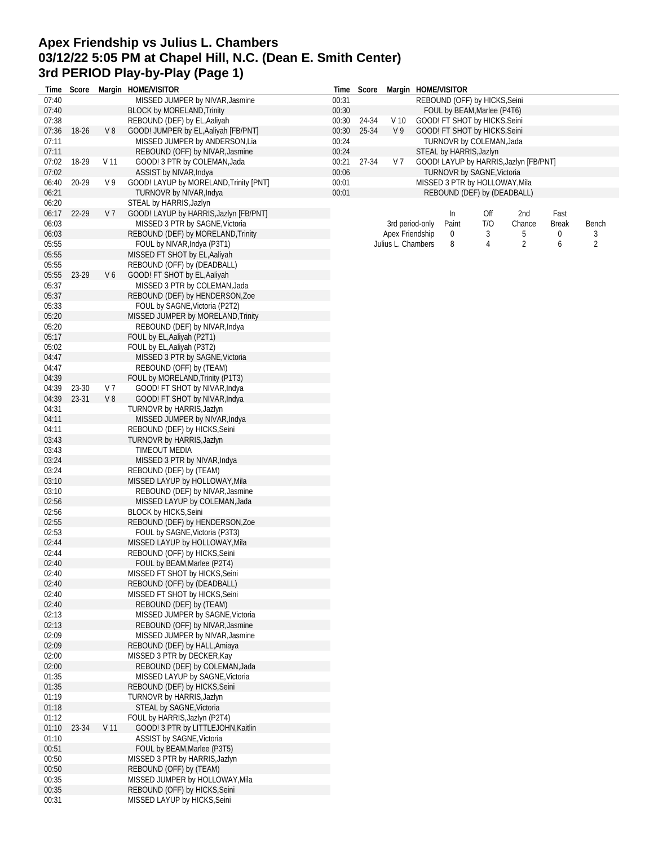# **Apex Friendship vs Julius L. Chambers 03/12/22 5:05 PM at Chapel Hill, N.C. (Dean E. Smith Center) 3rd PERIOD Play-by-Play (Page 1)**

| Time           | Score |                 | Margin HOME/VISITOR                                             |       | Time Score |                    |                 | Margin HOME/VISITOR            |     |                                        |       |                |
|----------------|-------|-----------------|-----------------------------------------------------------------|-------|------------|--------------------|-----------------|--------------------------------|-----|----------------------------------------|-------|----------------|
| 07:40          |       |                 | MISSED JUMPER by NIVAR, Jasmine                                 | 00:31 |            |                    |                 | REBOUND (OFF) by HICKS, Seini  |     |                                        |       |                |
| 07:40          |       |                 | <b>BLOCK by MORELAND, Trinity</b>                               | 00:30 |            |                    |                 | FOUL by BEAM, Marlee (P4T6)    |     |                                        |       |                |
| 07:38          |       |                 | REBOUND (DEF) by EL, Aaliyah                                    | 00:30 | 24-34      | V <sub>10</sub>    |                 | GOOD! FT SHOT by HICKS, Seini  |     |                                        |       |                |
| 07:36          | 18-26 | V8              | GOOD! JUMPER by EL, Aaliyah [FB/PNT]                            | 00:30 | 25-34      | V <sub>9</sub>     |                 | GOOD! FT SHOT by HICKS, Seini  |     |                                        |       |                |
| 07:11          |       |                 | MISSED JUMPER by ANDERSON, Lia                                  | 00:24 |            |                    |                 | TURNOVR by COLEMAN, Jada       |     |                                        |       |                |
| 07:11          |       |                 | REBOUND (OFF) by NIVAR, Jasmine                                 | 00:24 |            |                    |                 | STEAL by HARRIS, Jazlyn        |     |                                        |       |                |
| 07:02          | 18-29 | V 11            | GOOD! 3 PTR by COLEMAN, Jada                                    | 00:21 | 27-34      | V 7                |                 |                                |     | GOOD! LAYUP by HARRIS, Jazlyn [FB/PNT] |       |                |
| 07:02          |       |                 | ASSIST by NIVAR, Indya                                          | 00:06 |            |                    |                 | TURNOVR by SAGNE, Victoria     |     |                                        |       |                |
| 06:40          | 20-29 | V 9             | GOOD! LAYUP by MORELAND, Trinity [PNT]                          | 00:01 |            |                    |                 | MISSED 3 PTR by HOLLOWAY, Mila |     |                                        |       |                |
| 06:21          |       |                 | TURNOVR by NIVAR, Indya                                         | 00:01 |            |                    |                 | REBOUND (DEF) by (DEADBALL)    |     |                                        |       |                |
| 06:20          |       |                 | STEAL by HARRIS, Jazlyn                                         |       |            |                    |                 |                                |     |                                        |       |                |
| 06:17          | 22-29 | V <sub>7</sub>  | GOOD! LAYUP by HARRIS, Jazlyn [FB/PNT]                          |       |            |                    |                 | In                             | Off | 2nd                                    | Fast  |                |
| 06:03          |       |                 | MISSED 3 PTR by SAGNE, Victoria                                 |       |            |                    | 3rd period-only | Paint                          | T/O | Chance                                 | Break | Bench          |
| 06:03          |       |                 | REBOUND (DEF) by MORELAND, Trinity                              |       |            | Apex Friendship    |                 | 0                              | 3   | 5                                      | 0     | 3              |
| 05:55          |       |                 | FOUL by NIVAR, Indya (P3T1)                                     |       |            | Julius L. Chambers |                 | 8                              | 4   | 2                                      | 6     | $\overline{2}$ |
| 05:55          |       |                 | MISSED FT SHOT by EL, Aaliyah                                   |       |            |                    |                 |                                |     |                                        |       |                |
| 05:55          |       |                 | REBOUND (OFF) by (DEADBALL)                                     |       |            |                    |                 |                                |     |                                        |       |                |
| 05:55          | 23-29 | V6              | GOOD! FT SHOT by EL, Aaliyah                                    |       |            |                    |                 |                                |     |                                        |       |                |
| 05:37          |       |                 | MISSED 3 PTR by COLEMAN, Jada                                   |       |            |                    |                 |                                |     |                                        |       |                |
| 05:37          |       |                 | REBOUND (DEF) by HENDERSON, Zoe                                 |       |            |                    |                 |                                |     |                                        |       |                |
| 05:33          |       |                 | FOUL by SAGNE, Victoria (P2T2)                                  |       |            |                    |                 |                                |     |                                        |       |                |
| 05:20          |       |                 | MISSED JUMPER by MORELAND, Trinity                              |       |            |                    |                 |                                |     |                                        |       |                |
| 05:20          |       |                 | REBOUND (DEF) by NIVAR, Indya                                   |       |            |                    |                 |                                |     |                                        |       |                |
| 05:17          |       |                 | FOUL by EL, Aaliyah (P2T1)                                      |       |            |                    |                 |                                |     |                                        |       |                |
| 05:02          |       |                 | FOUL by EL, Aaliyah (P3T2)                                      |       |            |                    |                 |                                |     |                                        |       |                |
| 04:47          |       |                 | MISSED 3 PTR by SAGNE, Victoria                                 |       |            |                    |                 |                                |     |                                        |       |                |
| 04:47          |       |                 | REBOUND (OFF) by (TEAM)                                         |       |            |                    |                 |                                |     |                                        |       |                |
| 04:39          |       |                 | FOUL by MORELAND, Trinity (P1T3)                                |       |            |                    |                 |                                |     |                                        |       |                |
| 04:39          | 23-30 | V 7             | GOOD! FT SHOT by NIVAR, Indya                                   |       |            |                    |                 |                                |     |                                        |       |                |
| 04:39          | 23-31 | V8              | GOOD! FT SHOT by NIVAR, Indya                                   |       |            |                    |                 |                                |     |                                        |       |                |
| 04:31          |       |                 | TURNOVR by HARRIS, Jazlyn                                       |       |            |                    |                 |                                |     |                                        |       |                |
| 04:11          |       |                 | MISSED JUMPER by NIVAR, Indya                                   |       |            |                    |                 |                                |     |                                        |       |                |
| 04:11          |       |                 | REBOUND (DEF) by HICKS, Seini                                   |       |            |                    |                 |                                |     |                                        |       |                |
| 03:43          |       |                 | TURNOVR by HARRIS, Jazlyn                                       |       |            |                    |                 |                                |     |                                        |       |                |
| 03:43          |       |                 | TIMEOUT MEDIA                                                   |       |            |                    |                 |                                |     |                                        |       |                |
| 03:24          |       |                 | MISSED 3 PTR by NIVAR, Indya                                    |       |            |                    |                 |                                |     |                                        |       |                |
| 03:24          |       |                 | REBOUND (DEF) by (TEAM)                                         |       |            |                    |                 |                                |     |                                        |       |                |
| 03:10          |       |                 | MISSED LAYUP by HOLLOWAY, Mila                                  |       |            |                    |                 |                                |     |                                        |       |                |
| 03:10          |       |                 | REBOUND (DEF) by NIVAR, Jasmine                                 |       |            |                    |                 |                                |     |                                        |       |                |
| 02:56          |       |                 | MISSED LAYUP by COLEMAN, Jada                                   |       |            |                    |                 |                                |     |                                        |       |                |
| 02:56          |       |                 | <b>BLOCK by HICKS, Seini</b>                                    |       |            |                    |                 |                                |     |                                        |       |                |
| 02:55          |       |                 | REBOUND (DEF) by HENDERSON, Zoe                                 |       |            |                    |                 |                                |     |                                        |       |                |
| 02:53<br>02:44 |       |                 | FOUL by SAGNE, Victoria (P3T3)                                  |       |            |                    |                 |                                |     |                                        |       |                |
|                |       |                 | MISSED LAYUP by HOLLOWAY, Mila<br>REBOUND (OFF) by HICKS, Seini |       |            |                    |                 |                                |     |                                        |       |                |
| 02:44          |       |                 |                                                                 |       |            |                    |                 |                                |     |                                        |       |                |
| 02:40          |       |                 | FOUL by BEAM, Marlee (P2T4)                                     |       |            |                    |                 |                                |     |                                        |       |                |
| 02:40<br>02:40 |       |                 | MISSED FT SHOT by HICKS, Seini<br>REBOUND (OFF) by (DEADBALL)   |       |            |                    |                 |                                |     |                                        |       |                |
| 02:40          |       |                 | MISSED FT SHOT by HICKS, Seini                                  |       |            |                    |                 |                                |     |                                        |       |                |
| 02:40          |       |                 | REBOUND (DEF) by (TEAM)                                         |       |            |                    |                 |                                |     |                                        |       |                |
| 02:13          |       |                 | MISSED JUMPER by SAGNE, Victoria                                |       |            |                    |                 |                                |     |                                        |       |                |
| 02:13          |       |                 | REBOUND (OFF) by NIVAR, Jasmine                                 |       |            |                    |                 |                                |     |                                        |       |                |
| 02:09          |       |                 | MISSED JUMPER by NIVAR, Jasmine                                 |       |            |                    |                 |                                |     |                                        |       |                |
| 02:09          |       |                 | REBOUND (DEF) by HALL, Amiaya                                   |       |            |                    |                 |                                |     |                                        |       |                |
| 02:00          |       |                 | MISSED 3 PTR by DECKER, Kay                                     |       |            |                    |                 |                                |     |                                        |       |                |
| 02:00          |       |                 | REBOUND (DEF) by COLEMAN, Jada                                  |       |            |                    |                 |                                |     |                                        |       |                |
| 01:35          |       |                 | MISSED LAYUP by SAGNE, Victoria                                 |       |            |                    |                 |                                |     |                                        |       |                |
| 01:35          |       |                 | REBOUND (DEF) by HICKS, Seini                                   |       |            |                    |                 |                                |     |                                        |       |                |
| 01:19          |       |                 | TURNOVR by HARRIS, Jazlyn                                       |       |            |                    |                 |                                |     |                                        |       |                |
| 01:18          |       |                 | STEAL by SAGNE, Victoria                                        |       |            |                    |                 |                                |     |                                        |       |                |
| 01:12          |       |                 | FOUL by HARRIS, Jazlyn (P2T4)                                   |       |            |                    |                 |                                |     |                                        |       |                |
| 01:10          | 23-34 | V <sub>11</sub> | GOOD! 3 PTR by LITTLEJOHN, Kaitlin                              |       |            |                    |                 |                                |     |                                        |       |                |
| 01:10          |       |                 | ASSIST by SAGNE, Victoria                                       |       |            |                    |                 |                                |     |                                        |       |                |
| 00:51          |       |                 | FOUL by BEAM, Marlee (P3T5)                                     |       |            |                    |                 |                                |     |                                        |       |                |
| 00:50          |       |                 | MISSED 3 PTR by HARRIS, Jazlyn                                  |       |            |                    |                 |                                |     |                                        |       |                |
| 00:50          |       |                 | REBOUND (OFF) by (TEAM)                                         |       |            |                    |                 |                                |     |                                        |       |                |
| 00:35          |       |                 | MISSED JUMPER by HOLLOWAY, Mila                                 |       |            |                    |                 |                                |     |                                        |       |                |
| 00:35          |       |                 | REBOUND (OFF) by HICKS, Seini                                   |       |            |                    |                 |                                |     |                                        |       |                |
| 00:31          |       |                 | MISSED LAYUP by HICKS, Seini                                    |       |            |                    |                 |                                |     |                                        |       |                |
|                |       |                 |                                                                 |       |            |                    |                 |                                |     |                                        |       |                |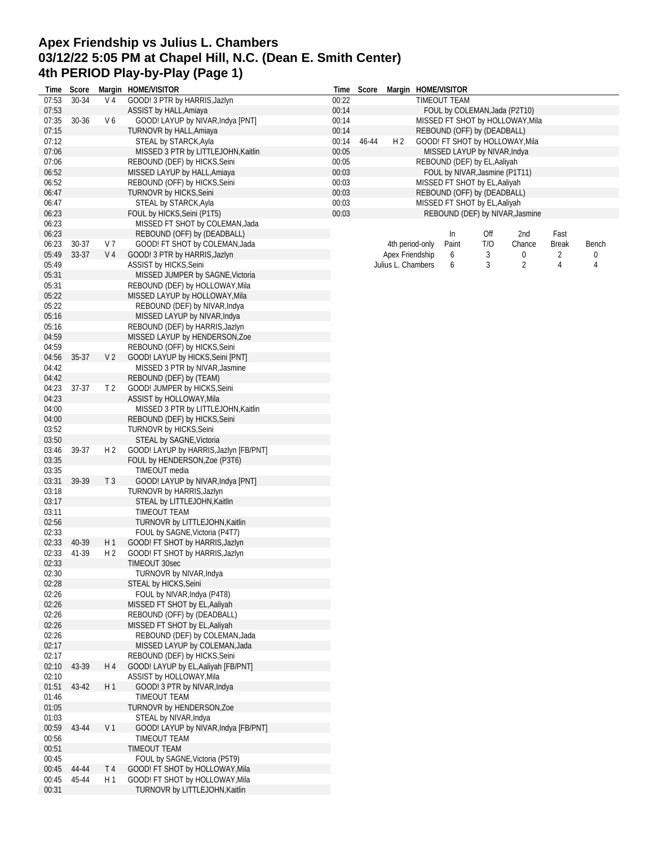# **Apex Friendship vs Julius L. Chambers 03/12/22 5:05 PM at Chapel Hill, N.C. (Dean E. Smith Center) 4th PERIOD Play-by-Play (Page 1)**

|                | Time Score |                | Margin HOME/VISITOR                                                 |                | Time Score |                    |                 | Margin HOME/VISITOR                                            |     |                                  |              |       |
|----------------|------------|----------------|---------------------------------------------------------------------|----------------|------------|--------------------|-----------------|----------------------------------------------------------------|-----|----------------------------------|--------------|-------|
| 07:53          | 30-34      | V 4            | GOOD! 3 PTR by HARRIS, Jazlyn                                       | 00:22          |            |                    |                 | TIMEOUT TEAM                                                   |     |                                  |              |       |
| 07:53          |            |                | ASSIST by HALL, Amiaya                                              | 00:14          |            |                    |                 | FOUL by COLEMAN, Jada (P2T10)                                  |     |                                  |              |       |
| 07:35          | 30-36      | V 6            | GOOD! LAYUP by NIVAR, Indya [PNT]                                   | 00:14          |            |                    |                 |                                                                |     | MISSED FT SHOT by HOLLOWAY, Mila |              |       |
| 07:15          |            |                | TURNOVR by HALL, Amiaya                                             | 00:14          |            |                    |                 | REBOUND (OFF) by (DEADBALL)                                    |     |                                  |              |       |
| 07:12          |            |                | STEAL by STARCK, Ayla                                               | 00:14          | 46-44      | H <sub>2</sub>     |                 |                                                                |     | GOOD! FT SHOT by HOLLOWAY, Mila  |              |       |
| 07:06<br>07:06 |            |                | MISSED 3 PTR by LITTLEJOHN, Kaitlin                                 | 00:05<br>00:05 |            |                    |                 | MISSED LAYUP by NIVAR, Indya                                   |     |                                  |              |       |
| 06:52          |            |                | REBOUND (DEF) by HICKS, Seini<br>MISSED LAYUP by HALL, Amiaya       | 00:03          |            |                    |                 | REBOUND (DEF) by EL, Aaliyah<br>FOUL by NIVAR, Jasmine (P1T11) |     |                                  |              |       |
| 06:52          |            |                | REBOUND (OFF) by HICKS, Seini                                       | 00:03          |            |                    |                 | MISSED FT SHOT by EL, Aaliyah                                  |     |                                  |              |       |
| 06:47          |            |                | TURNOVR by HICKS, Seini                                             | 00:03          |            |                    |                 | REBOUND (OFF) by (DEADBALL)                                    |     |                                  |              |       |
| 06:47          |            |                | STEAL by STARCK, Ayla                                               | 00:03          |            |                    |                 | MISSED FT SHOT by EL, Aaliyah                                  |     |                                  |              |       |
| 06:23          |            |                | FOUL by HICKS, Seini (P1T5)                                         | 00:03          |            |                    |                 |                                                                |     | REBOUND (DEF) by NIVAR, Jasmine  |              |       |
| 06:23          |            |                | MISSED FT SHOT by COLEMAN, Jada                                     |                |            |                    |                 |                                                                |     |                                  |              |       |
| 06:23          |            |                | REBOUND (OFF) by (DEADBALL)                                         |                |            |                    |                 | In                                                             | Off | 2nd                              | Fast         |       |
| 06:23          | 30-37      | V 7            | GOOD! FT SHOT by COLEMAN, Jada                                      |                |            |                    | 4th period-only | Paint                                                          | T/O | Chance                           | <b>Break</b> | Bench |
| 05:49          | 33-37      | V 4            | GOOD! 3 PTR by HARRIS, Jazlyn                                       |                |            | Apex Friendship    |                 | 6                                                              | 3   | 0                                | 2            | 0     |
| 05:49          |            |                | ASSIST by HICKS, Seini                                              |                |            | Julius L. Chambers |                 | 6                                                              | 3   | $\overline{2}$                   | 4            | 4     |
| 05:31          |            |                | MISSED JUMPER by SAGNE, Victoria                                    |                |            |                    |                 |                                                                |     |                                  |              |       |
| 05:31          |            |                | REBOUND (DEF) by HOLLOWAY, Mila                                     |                |            |                    |                 |                                                                |     |                                  |              |       |
| 05:22          |            |                | MISSED LAYUP by HOLLOWAY, Mila                                      |                |            |                    |                 |                                                                |     |                                  |              |       |
| 05:22          |            |                | REBOUND (DEF) by NIVAR, Indya                                       |                |            |                    |                 |                                                                |     |                                  |              |       |
| 05:16          |            |                | MISSED LAYUP by NIVAR, Indya                                        |                |            |                    |                 |                                                                |     |                                  |              |       |
| 05:16          |            |                | REBOUND (DEF) by HARRIS, Jazlyn                                     |                |            |                    |                 |                                                                |     |                                  |              |       |
| 04:59          |            |                | MISSED LAYUP by HENDERSON, Zoe                                      |                |            |                    |                 |                                                                |     |                                  |              |       |
| 04:59          |            |                | REBOUND (OFF) by HICKS, Seini                                       |                |            |                    |                 |                                                                |     |                                  |              |       |
| 04:56<br>04:42 | 35-37      | V <sub>2</sub> | GOOD! LAYUP by HICKS, Seini [PNT]<br>MISSED 3 PTR by NIVAR, Jasmine |                |            |                    |                 |                                                                |     |                                  |              |       |
| 04:42          |            |                | REBOUND (DEF) by (TEAM)                                             |                |            |                    |                 |                                                                |     |                                  |              |       |
| 04:23          | $37-37$    | T <sub>2</sub> | GOOD! JUMPER by HICKS, Seini                                        |                |            |                    |                 |                                                                |     |                                  |              |       |
| 04:23          |            |                | ASSIST by HOLLOWAY, Mila                                            |                |            |                    |                 |                                                                |     |                                  |              |       |
| 04:00          |            |                | MISSED 3 PTR by LITTLEJOHN, Kaitlin                                 |                |            |                    |                 |                                                                |     |                                  |              |       |
| 04:00          |            |                | REBOUND (DEF) by HICKS, Seini                                       |                |            |                    |                 |                                                                |     |                                  |              |       |
| 03:52          |            |                | TURNOVR by HICKS, Seini                                             |                |            |                    |                 |                                                                |     |                                  |              |       |
| 03:50          |            |                | STEAL by SAGNE, Victoria                                            |                |            |                    |                 |                                                                |     |                                  |              |       |
| 03:46          | 39-37      | H <sub>2</sub> | GOOD! LAYUP by HARRIS, Jazlyn [FB/PNT]                              |                |            |                    |                 |                                                                |     |                                  |              |       |
| 03:35          |            |                | FOUL by HENDERSON, Zoe (P3T6)                                       |                |            |                    |                 |                                                                |     |                                  |              |       |
| 03:35          |            |                | TIMEOUT media                                                       |                |            |                    |                 |                                                                |     |                                  |              |       |
| 03:31          | 39-39      | T <sub>3</sub> | GOOD! LAYUP by NIVAR, Indya [PNT]                                   |                |            |                    |                 |                                                                |     |                                  |              |       |
| 03:18          |            |                | TURNOVR by HARRIS, Jazlyn                                           |                |            |                    |                 |                                                                |     |                                  |              |       |
| 03:17          |            |                | STEAL by LITTLEJOHN, Kaitlin                                        |                |            |                    |                 |                                                                |     |                                  |              |       |
| 03:11          |            |                | TIMEOUT TEAM                                                        |                |            |                    |                 |                                                                |     |                                  |              |       |
| 02:56          |            |                | TURNOVR by LITTLEJOHN, Kaitlin                                      |                |            |                    |                 |                                                                |     |                                  |              |       |
| 02:33<br>02:33 | 40-39      | H1             | FOUL by SAGNE, Victoria (P4T7)                                      |                |            |                    |                 |                                                                |     |                                  |              |       |
| 02:33          | 41-39      | H 2            | GOOD! FT SHOT by HARRIS, Jazlyn<br>GOOD! FT SHOT by HARRIS, Jazlyn  |                |            |                    |                 |                                                                |     |                                  |              |       |
| 02:33          |            |                | TIMEOUT 30sec                                                       |                |            |                    |                 |                                                                |     |                                  |              |       |
| 02:30          |            |                | TURNOVR by NIVAR, Indya                                             |                |            |                    |                 |                                                                |     |                                  |              |       |
| 02:28          |            |                | STEAL by HICKS, Seini                                               |                |            |                    |                 |                                                                |     |                                  |              |       |
| 02:26          |            |                | FOUL by NIVAR, Indya (P4T8)                                         |                |            |                    |                 |                                                                |     |                                  |              |       |
| 02:26          |            |                | MISSED FT SHOT by EL, Aaliyah                                       |                |            |                    |                 |                                                                |     |                                  |              |       |
| 02:26          |            |                | REBOUND (OFF) by (DEADBALL)                                         |                |            |                    |                 |                                                                |     |                                  |              |       |
| 02:26          |            |                | MISSED FT SHOT by EL, Aaliyah                                       |                |            |                    |                 |                                                                |     |                                  |              |       |
| 02:26          |            |                | REBOUND (DEF) by COLEMAN, Jada                                      |                |            |                    |                 |                                                                |     |                                  |              |       |
| 02:17          |            |                | MISSED LAYUP by COLEMAN, Jada                                       |                |            |                    |                 |                                                                |     |                                  |              |       |
| 02:17          |            |                | REBOUND (DEF) by HICKS, Seini                                       |                |            |                    |                 |                                                                |     |                                  |              |       |
| 02:10          | 43-39      | H 4            | GOOD! LAYUP by EL, Aaliyah [FB/PNT]                                 |                |            |                    |                 |                                                                |     |                                  |              |       |
| 02:10          |            |                | ASSIST by HOLLOWAY, Mila                                            |                |            |                    |                 |                                                                |     |                                  |              |       |
| 01:51          | 43-42      | H1             | GOOD! 3 PTR by NIVAR, Indya                                         |                |            |                    |                 |                                                                |     |                                  |              |       |
| 01:46<br>01:05 |            |                | TIMEOUT TEAM<br>TURNOVR by HENDERSON, Zoe                           |                |            |                    |                 |                                                                |     |                                  |              |       |
| 01:03          |            |                | STEAL by NIVAR, Indya                                               |                |            |                    |                 |                                                                |     |                                  |              |       |
| 00:59          | 43-44      | V <sub>1</sub> | GOOD! LAYUP by NIVAR, Indya [FB/PNT]                                |                |            |                    |                 |                                                                |     |                                  |              |       |
| 00:56          |            |                | TIMEOUT TEAM                                                        |                |            |                    |                 |                                                                |     |                                  |              |       |
| 00:51          |            |                | TIMEOUT TEAM                                                        |                |            |                    |                 |                                                                |     |                                  |              |       |
| 00:45          |            |                | FOUL by SAGNE, Victoria (P5T9)                                      |                |            |                    |                 |                                                                |     |                                  |              |       |
| 00:45          | 44-44      | T 4            | GOOD! FT SHOT by HOLLOWAY, Mila                                     |                |            |                    |                 |                                                                |     |                                  |              |       |
| 00:45          | 45-44      | H <sub>1</sub> | GOOD! FT SHOT by HOLLOWAY, Mila                                     |                |            |                    |                 |                                                                |     |                                  |              |       |
| 00:31          |            |                | TURNOVR by LITTLEJOHN, Kaitlin                                      |                |            |                    |                 |                                                                |     |                                  |              |       |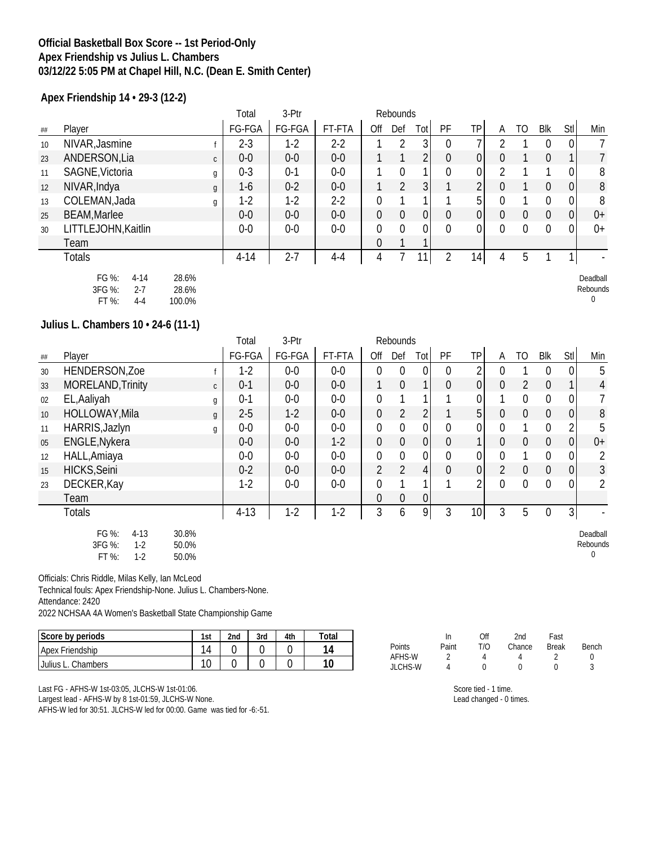#### **Official Basketball Box Score -- 1st Period-Only Apex Friendship vs Julius L. Chambers 03/12/22 5:05 PM at Chapel Hill, N.C. (Dean E. Smith Center)**

**Apex Friendship 14 • 29-3 (12-2)**

|    |                     |                | Total    | 3-Ptr   | Rebounds |          |              |     |                  |                 |   |    |            |                  |      |
|----|---------------------|----------------|----------|---------|----------|----------|--------------|-----|------------------|-----------------|---|----|------------|------------------|------|
| ## | Player              |                | FG-FGA   | FG-FGA  | FT-FTA   | Off      | Def          | Tot | PF               | ТP              | А | TO | <b>Blk</b> | <b>Stl</b>       | Min  |
| 10 | NIVAR, Jasmine      |                | 2-3      | $1-2$   | $2 - 2$  |          | റ            | 3   | 0                |                 |   |    |            | 0                |      |
| 23 | ANDERSON, Lia       | $\mathsf{C}$   | $0-0$    | $0-0$   | $0-0$    |          |              | C   | 0                | $\overline{0}$  |   |    |            |                  |      |
| 11 | SAGNE, Victoria     | g              | $0 - 3$  | $0 - 1$ | $0-0$    |          |              |     | 0                | 0               |   |    |            | 0                | 8    |
| 12 | NIVAR, Indya        | $\mathfrak{g}$ | $1-6$    | $0 - 2$ | $0-0$    |          | 2            | 3   |                  | C.              |   |    |            | $\boldsymbol{0}$ | 8    |
| 13 | COLEMAN, Jada       | g              | $1-2$    | $1-2$   | $2 - 2$  | $\Omega$ |              |     |                  | 5               |   |    |            | $\boldsymbol{0}$ | 8    |
| 25 | <b>BEAM, Marlee</b> |                | $0-0$    | $0-0$   | $0-0$    | $\theta$ | $\mathbf{0}$ | 0   | $\boldsymbol{0}$ | $\overline{0}$  |   | 0  | 0          | $\overline{0}$   | $0+$ |
| 30 | LITTLEJOHN, Kaitlin |                | $0-0$    | $0-0$   | $0-0$    | $\Omega$ | 0            | 0   | $\Omega$         | 0               |   | U  |            | $\overline{0}$   | $0+$ |
|    | Team                |                |          |         |          | $\theta$ |              |     |                  |                 |   |    |            |                  |      |
|    | Totals              |                | $4 - 14$ | $2 - 7$ | 4-4      | 4        |              |     |                  | 14 <sub>1</sub> |   | b  |            |                  |      |

| FG %:   | 4-14 | 28.6%  |
|---------|------|--------|
| 3FG %:  | 2-7  | 28.6%  |
| $FT$ %: | 4-4  | 100.0% |

**Julius L. Chambers 10 • 24-6 (11-1)**

|    |                                                        |              | Total    | 3-Ptr  | Rebounds |                  |                |                  |                  |                 |                |                |                |                  |                      |
|----|--------------------------------------------------------|--------------|----------|--------|----------|------------------|----------------|------------------|------------------|-----------------|----------------|----------------|----------------|------------------|----------------------|
| ## | Player                                                 |              | FG-FGA   | FG-FGA | FT-FTA   | Off              | Def            | Tot              | PF               | <b>TP</b>       | A              | TO             | <b>Blk</b>     | Stl              | Min                  |
| 30 | HENDERSON, Zoe                                         |              | $1-2$    | $0-0$  | $0-0$    | $\overline{0}$   | $\mathbf{0}$   | $\mathbf{0}$     | $\Omega$         | 2               | 0              |                | $\Omega$       | $\overline{0}$   | 5                    |
| 33 | MORELAND, Trinity                                      | $\mathsf{C}$ | $0 - 1$  | $0-0$  | $0-0$    |                  | $\mathbf 0$    |                  | $\boldsymbol{0}$ | $\overline{0}$  | 0              | $\overline{2}$ | $\overline{0}$ | 1                | 4                    |
| 02 | EL, Aaliyah                                            | g            | $0 - 1$  | $0-0$  | $0-0$    | 0                |                |                  |                  | 0               |                | $\Omega$       | $\Omega$       | $\boldsymbol{0}$ |                      |
| 10 | HOLLOWAY, Mila                                         | g            | $2 - 5$  | $1-2$  | $0-0$    | $\mathbf 0$      | $\overline{2}$ | $\overline{2}$   |                  | 5 <sup>1</sup>  | 0              | $\mathbf 0$    | $\overline{0}$ | $\mathbf 0$      | 8                    |
| 11 | HARRIS, Jazlyn                                         | g            | $0-0$    | $0-0$  | $0-0$    | $\boldsymbol{0}$ | $\overline{0}$ | 0                | $\mathbf{0}$     | 0               | $\Omega$       |                | $\Omega$       | 2                | 5                    |
| 05 | ENGLE, Nykera                                          |              | $0-0$    | $0-0$  | $1-2$    | $\mathbf 0$      | $\mathbf 0$    | $\overline{0}$   | $\mathbf 0$      |                 | $\Omega$       | $\mathbf 0$    | $\overline{0}$ | $\mathbf 0$      | $0+$                 |
| 12 | HALL, Amiaya                                           |              | $0-0$    | $0-0$  | $0-0$    | $\boldsymbol{0}$ | $\mathbf 0$    | $\overline{0}$   | $\mathbf 0$      | $\overline{0}$  | 0              |                | $\mathbf 0$    | 0                | 2                    |
| 15 | HICKS, Seini                                           |              | $0 - 2$  | $0-0$  | $0-0$    | $\overline{2}$   | $\overline{2}$ | 4                | $\mathbf 0$      | $\overline{0}$  | $\overline{2}$ | $\theta$       | $\overline{0}$ | 0                | 3                    |
| 23 | DECKER, Kay                                            |              | $1-2$    | $0-0$  | $0-0$    | $\mathbf 0$      | 1              |                  |                  | 2               | $\Omega$       | $\overline{0}$ | $\Omega$       | 0                | 2                    |
|    | Team                                                   |              |          |        |          | 0                | $\mathbf 0$    | $\boldsymbol{0}$ |                  |                 |                |                |                |                  |                      |
|    | <b>Totals</b>                                          |              | $4 - 13$ | $1-2$  | $1-2$    | 3                | 6              | 9                | 3                | 10 <sup>1</sup> | 3              | 5              | $\mathbf 0$    | $\overline{3}$   |                      |
|    | FG %:<br>$4 - 13$<br>30.8%<br>3FG %:<br>$1-2$<br>50.0% |              |          |        |          |                  |                |                  |                  |                 |                |                |                |                  | Deadball<br>Rebounds |

Officials: Chris Riddle, Milas Kelly, Ian McLeod

Technical fouls: Apex Friendship-None. Julius L. Chambers-None.

FT %: 1-2 50.0%

Attendance: 2420

2022 NCHSAA 4A Women's Basketball State Championship Game

| Score by periods      | 1st | 2 <sub>nd</sub> | 3rd | 4th | Total |
|-----------------------|-----|-----------------|-----|-----|-------|
| Apex Friendship       | 11  |                 |     |     |       |
| Julius L.<br>Chambers | 10  |                 |     |     | 10    |

Last FG - AFHS-W 1st-03:05, JLCHS-W 1st-01:06.

Largest lead - AFHS-W by 8 1st-01:59, JLCHS-W None.

AFHS-W led for 30:51. JLCHS-W led for 00:00. Game was tied for -6:-51.

|         | In    | Off | 2nd        | Fast         |       |
|---------|-------|-----|------------|--------------|-------|
| Points  | Paint | T/O | Chance     | <b>Break</b> | Bench |
| AFHS-W  |       |     |            |              | O     |
| JLCHS-W |       |     | $^{\circ}$ |              |       |

Score tied - 1 time.

Lead changed - 0 times.

Deadball Rebounds



 $\boldsymbol{0}$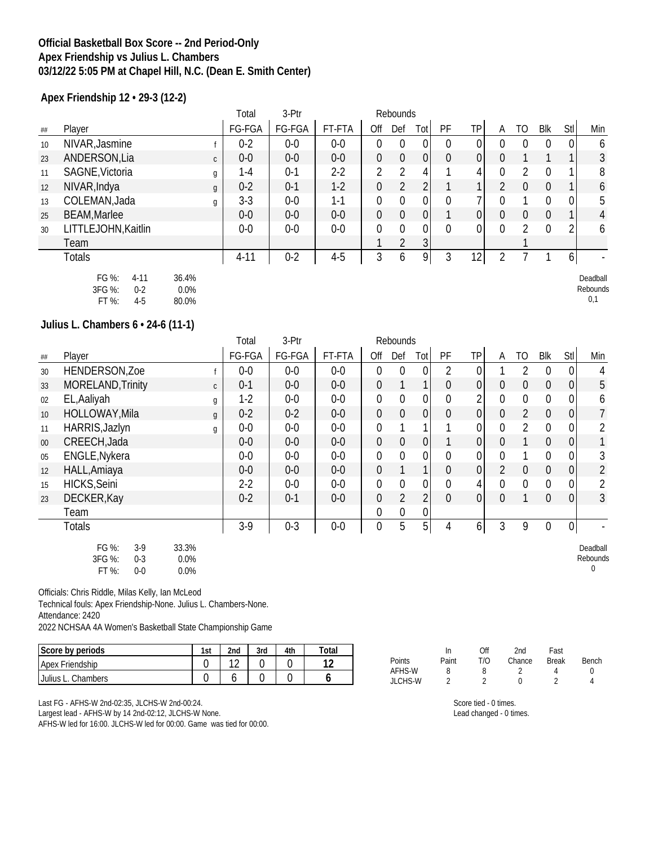### **Official Basketball Box Score -- 2nd Period-Only Apex Friendship vs Julius L. Chambers 03/12/22 5:05 PM at Chapel Hill, N.C. (Dean E. Smith Center)**

**Apex Friendship 12 • 29-3 (12-2)**

|    |                               | Total    | 3-Ptr   |         |          | Rebounds       |                |    |    |   |    |            |            |     |
|----|-------------------------------|----------|---------|---------|----------|----------------|----------------|----|----|---|----|------------|------------|-----|
| ## | Player                        | FG-FGA   | FG-FGA  | FT-FTA  | Off      | Def            | Tot            | PF | ТP | А | TO | <b>Blk</b> | <b>Stl</b> | Min |
| 10 | NIVAR, Jasmine                | $0 - 2$  | $0-0$   | $0-0$   |          | 0              | 0              | 0  | 0  |   |    |            | 0          | 6   |
| 23 | ANDERSON, Lia<br>$\mathsf{C}$ | $0-0$    | $0-0$   | $0-0$   | $\theta$ | $\mathbf{0}$   | 0              | 0  | 0  |   |    |            | 1          | 3   |
| 11 | SAGNE, Victoria<br>g          | $1 - 4$  | $0 - 1$ | $2 - 2$ |          |                | 4              |    | 4  |   |    |            |            | 8   |
| 12 | NIVAR, Indya<br>g             | $0 - 2$  | $0-1$   | $1-2$   | $\Omega$ | $\mathfrak{D}$ |                |    |    |   |    |            |            | 6   |
| 13 | COLEMAN, Jada<br>g            | $3-3$    | $0-0$   | 1-1     |          | 0              | 0              | 0  |    |   |    |            | 0          | 5   |
| 25 | <b>BEAM, Marlee</b>           | $0-0$    | $0-0$   | $0-0$   | $\theta$ | $\theta$       | 0              |    | 01 |   | 0  |            |            | 4   |
| 30 | LITTLEJOHN, Kaitlin           | $0-0$    | $0-0$   | $0-0$   |          | $\Omega$       | 0              | 0  |    |   |    |            | 2          | 6   |
|    | Team                          |          |         |         |          |                | 3 <sup>1</sup> |    |    |   |    |            |            |     |
|    | Totals                        | $4 - 11$ | $0 - 2$ | $4 - 5$ |          | b              | 9              | 3  | 12 |   |    |            | 6          |     |

| FG %:  | 4-11  | 36.4%   |
|--------|-------|---------|
| 3FG %: | 0-2   | $0.0\%$ |
| FT %:  | $4-5$ | 80.0%   |

## **Julius L. Chambers 6 • 24-6 (11-1)**

|        |                                                     |                          | Total   | 3-Ptr   |        |                  | Rebounds       |                  |                |                |                |                  |                  |                  |                           |
|--------|-----------------------------------------------------|--------------------------|---------|---------|--------|------------------|----------------|------------------|----------------|----------------|----------------|------------------|------------------|------------------|---------------------------|
| ##     | Player                                              |                          | FG-FGA  | FG-FGA  | FT-FTA | Off              | Def            | Totl             | PF             | TP             | A              | TO.              | Blk              | Stl              | Min                       |
| 30     | HENDERSON, Zoe                                      |                          | $0-0$   | $0-0$   | $0-0$  | 0                | 0              | $\mathbf 0$      | 2              | 0              |                | 2                | $\mathbf 0$      | $\overline{0}$   | 4                         |
| 33     | MORELAND, Trinity                                   | $\mathsf{C}$             | $0 - 1$ | $0-0$   | $0-0$  | $\mathbf 0$      |                | 1 <sub>1</sub>   | $\overline{0}$ | 0              | $\overline{0}$ | $\mathbf 0$      | $\overline{0}$   | $\overline{0}$   | 5                         |
| 02     | EL, Aaliyah                                         | g                        | $1-2$   | $0-0$   | $0-0$  | $\mathbf 0$      | $\mathbf 0$    | 0                | 0              | 2              | $\overline{0}$ | $\boldsymbol{0}$ | $\boldsymbol{0}$ | $\boldsymbol{0}$ | 6                         |
| 10     | HOLLOWAY, Mila                                      | $\mathfrak{g}$           | $0 - 2$ | $0 - 2$ | $0-0$  | $\overline{0}$   | $\mathbf 0$    | $\overline{0}$   | $\overline{0}$ | $\overline{0}$ | $\overline{0}$ | $\overline{2}$   | $\overline{0}$   | $\overline{0}$   | $\overline{7}$            |
| 11     | HARRIS, Jazlyn                                      | g                        | $0-0$   | $0-0$   | $0-0$  | 0                |                | 1                |                | 0              | $\overline{0}$ | $\overline{2}$   | $\overline{0}$   | $\boldsymbol{0}$ | 2                         |
| $00\,$ | CREECH, Jada                                        |                          | $0-0$   | $0-0$   | $0-0$  | $\overline{0}$   | $\mathbf 0$    | $\overline{0}$   |                | $\overline{0}$ | $\overline{0}$ |                  | $\mathbf 0$      | $\overline{0}$   |                           |
| 05     | ENGLE, Nykera                                       |                          | $0-0$   | $0-0$   | $0-0$  | $\boldsymbol{0}$ | $\mathbf 0$    | $\boldsymbol{0}$ | $\mathbf{0}$   | 0              | $\overline{0}$ |                  | $\overline{0}$   | $\boldsymbol{0}$ | 3                         |
| 12     | HALL, Amiaya                                        |                          | $0-0$   | $0-0$   | $0-0$  | $\mathbf 0$      |                | 11               | $\overline{0}$ | $\overline{0}$ | $\overline{2}$ | $\mathbf 0$      | $\overline{0}$   | $\overline{0}$   | $\overline{2}$            |
| 15     | HICKS, Seini                                        |                          | $2 - 2$ | $0-0$   | $0-0$  | $\boldsymbol{0}$ | $\mathbf 0$    | $\overline{0}$   | $\mathbf 0$    | $\frac{4}{ }$  | $\overline{0}$ | $\mathbf 0$      | $\overline{0}$   | $\overline{0}$   | 2                         |
| 23     | DECKER, Kay                                         |                          | $0 - 2$ | $0 - 1$ | $0-0$  | $\mathbf 0$      | $\overline{2}$ | $\overline{2}$   | $\overline{0}$ | 0              | $\overline{0}$ | 1                | $\mathbf 0$      | $\overline{0}$   | 3                         |
|        | Team                                                |                          |         |         |        | $\boldsymbol{0}$ | $\pmb{0}$      | 0                |                |                |                |                  |                  |                  |                           |
|        | <b>Totals</b>                                       |                          | $3-9$   | $0 - 3$ | $0-0$  | 0                | 5              | 5 <sup>1</sup>   | 4              | 6              | 3              | 9                | $\boldsymbol{0}$ | $\overline{0}$   |                           |
|        | FG %:<br>$3-9$<br>3FG %:<br>$0-3$<br>FT %:<br>$0-0$ | 33.3%<br>$0.0\%$<br>0.0% |         |         |        |                  |                |                  |                |                |                |                  |                  |                  | Deadball<br>Rebounds<br>0 |

Officials: Chris Riddle, Milas Kelly, Ian McLeod

Technical fouls: Apex Friendship-None. Julius L. Chambers-None.

Attendance: 2420

2022 NCHSAA 4A Women's Basketball State Championship Game

| Score by periods       | 1st | 2nd | 3rd | 4th | Totar |
|------------------------|-----|-----|-----|-----|-------|
| <b>Apex Friendship</b> |     |     |     |     | 1 ^   |
| Julius L.<br>Chambers  |     |     |     |     |       |

Last FG - AFHS-W 2nd-02:35, JLCHS-W 2nd-00:24. Largest lead - AFHS-W by 14 2nd-02:12, JLCHS-W None. AFHS-W led for 16:00. JLCHS-W led for 00:00. Game was tied for 00:00.

|               |       | Off | 2nd    | Fast         |       |
|---------------|-------|-----|--------|--------------|-------|
| <b>Points</b> | Paint | T/O | Chance | <b>Break</b> | Bench |
| AFHS-W        | 8     | 8   |        |              |       |
| JLCHS-W       |       |     | U      |              |       |

Score tied - 0 times. Lead changed - 0 times.

Deadball Rebounds

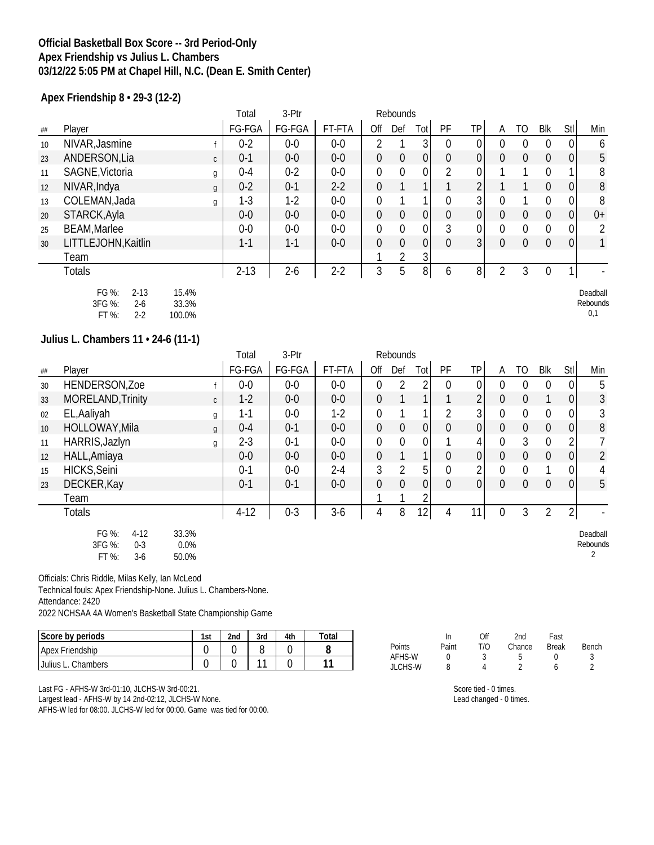## **Official Basketball Box Score -- 3rd Period-Only Apex Friendship vs Julius L. Chambers 03/12/22 5:05 PM at Chapel Hill, N.C. (Dean E. Smith Center)**

**Apex Friendship 8 • 29-3 (12-2)**

|    |                               | Total    | 3-Ptr   |         |                  | Rebounds       |                |                  |                |          |                |                |                |                |
|----|-------------------------------|----------|---------|---------|------------------|----------------|----------------|------------------|----------------|----------|----------------|----------------|----------------|----------------|
| ## | Player                        | FG-FGA   | FG-FGA  | FT-FTA  | Off              | Def            | Tot            | PF               | <b>TP</b>      | A        | TO             | Blk            | Stl            | Min            |
| 10 | NIVAR, Jasmine                | $0 - 2$  | $0-0$   | $0-0$   | $\mathfrak{D}$   |                | 3              | $\theta$         | 0              |          | 0              |                | 0              | 6              |
| 23 | ANDERSON, Lia<br>$\mathsf{C}$ | $0 - 1$  | $0-0$   | $0-0$   | $\boldsymbol{0}$ | $\mathbf 0$    | 0              | $\theta$         | $\overline{0}$ | $\Omega$ | $\theta$       | $\theta$       | 0              | 5              |
| 11 | SAGNE, Victoria<br>g          | $0 - 4$  | $0 - 2$ | $0-0$   | $\mathbf 0$      | $\mathbf 0$    | 0              | $\overline{2}$   | $\overline{0}$ |          |                | $\Omega$       | 1              | 8              |
| 12 | NIVAR, Indya<br>g             | $0 - 2$  | $0 - 1$ | $2-2$   | $\mathbf 0$      |                |                |                  | 2              |          |                | $\overline{0}$ | $\overline{0}$ | 8              |
| 13 | COLEMAN, Jada<br>g            | $1-3$    | $1-2$   | $0-0$   | $\mathbf 0$      |                |                | $\overline{0}$   | 31             | 0        |                | $\Omega$       | $\mathbf 0$    | 8              |
| 20 | STARCK, Ayla                  | $0-0$    | $0-0$   | $0-0$   | $\boldsymbol{0}$ | $\mathbf 0$    | 0              | $\boldsymbol{0}$ | $\overline{0}$ | 0        | $\theta$       | $\overline{0}$ | 0              | $0+$           |
| 25 | <b>BEAM, Marlee</b>           | $0-0$    | $0-0$   | $0-0$   | $\mathbf 0$      | $\mathbf 0$    | 0              | 3                | $\overline{0}$ | $\Omega$ | $\overline{0}$ | $\mathbf 0$    | 0              | $\overline{2}$ |
| 30 | LITTLEJOHN, Kaitlin           | $1 - 1$  | $1 - 1$ | $0-0$   | $\overline{0}$   | $\overline{0}$ | 0              | $\theta$         | 3              | $\Omega$ | $\overline{0}$ | $\overline{0}$ | $\mathbf 0$    |                |
|    | Team                          |          |         |         |                  | $\overline{2}$ | 3 <sub>l</sub> |                  |                |          |                |                |                |                |
|    | <b>Totals</b>                 | $2 - 13$ | $2-6$   | $2 - 2$ | 3                | 5              | 8 <sup>1</sup> | 6                | 8              | C        | 3              | $\Omega$       | 1              |                |
|    | FG %:<br>$2 - 13$<br>15.4%    |          |         |         |                  |                |                |                  |                |          |                |                |                | Deadball       |
|    | 3FG %:<br>33.3%<br>2-6        |          |         |         |                  |                |                |                  |                |          |                |                |                | Rebounds       |

| Julius L. Chambers $11 \cdot 24 \cdot 6$ (11-1) |  |  |
|-------------------------------------------------|--|--|
|                                                 |  |  |

FT %: 2-2 100.0%

|    |                                                        |                           | Total   | 3-Ptr   |         |                  | Rebounds       |                 |                |                 |                |                  |                  |                |                           |
|----|--------------------------------------------------------|---------------------------|---------|---------|---------|------------------|----------------|-----------------|----------------|-----------------|----------------|------------------|------------------|----------------|---------------------------|
| ## | Player                                                 |                           | FG-FGA  | FG-FGA  | FT-FTA  | Off              | Def            | Tot             | PF             | <b>TP</b>       | A              | TO               | <b>Blk</b>       | Stl            | Min                       |
| 30 | HENDERSON, Zoe                                         |                           | $0-0$   | $0-0$   | $0-0$   | 0                | 2              | 2               | $\Omega$       | 0               | $\overline{0}$ | $\overline{0}$   | $\boldsymbol{0}$ | 0              | 5                         |
| 33 | MORELAND, Trinity                                      | $\mathsf{C}$              | $1-2$   | $0-0$   | $0-0$   | $\mathbf 0$      | 1              | 1               | 1              | $\overline{2}$  | $\mathbf 0$    | $\overline{0}$   |                  | 0              | 3                         |
| 02 | EL, Aaliyah                                            | g                         | $1 - 1$ | $0-0$   | $1-2$   | $\mathbf 0$      |                |                 | 2              | 3 <sup>1</sup>  | $\overline{0}$ | $\overline{0}$   | $\boldsymbol{0}$ | 0              | 3                         |
| 10 | HOLLOWAY, Mila                                         | $\mathfrak{g}$            | $0 - 4$ | $0 - 1$ | $0-0$   | $\mathbf 0$      | $\mathbf 0$    | $\overline{0}$  | 0              | $\overline{0}$  | $\overline{0}$ | $\overline{0}$   | $\mathbf 0$      | 0              | 8                         |
| 11 | HARRIS, Jazlyn                                         | g                         | $2 - 3$ | $0 - 1$ | $0-0$   | $\boldsymbol{0}$ | $\mathbf 0$    | $\mathbf 0$     |                | $\vert 4 \vert$ | $\overline{0}$ | 3                | $\mathbf 0$      | 2              | 7                         |
| 12 | HALL, Amiaya                                           |                           | $0-0$   | $0-0$   | $0-0$   | $\mathbf 0$      | $\mathbf{1}$   | 1               | 0              | $\overline{0}$  | $\overline{0}$ | $\overline{0}$   | $\overline{0}$   | 0              | $\overline{2}$            |
| 15 | <b>HICKS, Seini</b>                                    |                           | $0 - 1$ | $0-0$   | $2 - 4$ | 3                | $\overline{2}$ | 5               | 0              | 2               | $\overline{0}$ | $\boldsymbol{0}$ |                  | 0              | 4                         |
| 23 | DECKER, Kay                                            |                           | $0 - 1$ | $0 - 1$ | $0-0$   | $\overline{0}$   | $\mathbf{0}$   | $\overline{0}$  | $\overline{0}$ | $\overline{0}$  | $\overline{0}$ | $\overline{0}$   | $\overline{0}$   | 0              | 5                         |
|    | Team                                                   |                           |         |         |         | 1                |                | ኅ               |                |                 |                |                  |                  |                |                           |
|    | Totals                                                 |                           | $4-12$  | $0 - 3$ | $3-6$   | 4                | 8              | 12 <sub>1</sub> | 4              | 11              | 0              | 3                | $\overline{2}$   | $\overline{2}$ |                           |
|    | FG %:<br>$4-12$<br>3FG %:<br>$0 - 3$<br>FT %:<br>$3-6$ | 33.3%<br>$0.0\%$<br>50.0% |         |         |         |                  |                |                 |                |                 |                |                  |                  |                | Deadball<br>Rebounds<br>2 |

Officials: Chris Riddle, Milas Kelly, Ian McLeod

Technical fouls: Apex Friendship-None. Julius L. Chambers-None.

Attendance: 2420

2022 NCHSAA 4A Women's Basketball State Championship Game

| Score by periods         | 1st | 2 <sub>nd</sub> | 3rd | 4th | otal |
|--------------------------|-----|-----------------|-----|-----|------|
| Apex Friendship          |     |                 |     |     |      |
| ∟. Chambers<br>Julius L. |     |                 |     |     |      |

Last FG - AFHS-W 3rd-01:10, JLCHS-W 3rd-00:21.

Largest lead - AFHS-W by 14 2nd-02:12, JLCHS-W None.

AFHS-W led for 08:00. JLCHS-W led for 00:00. Game was tied for 00:00.

|         | In    | Off | 2nd    | Fast         |       |
|---------|-------|-----|--------|--------------|-------|
| Points  | Paint | T/O | Chance | <b>Break</b> | Bench |
| AFHS-W  |       |     | 5      |              |       |
| JLCHS-W | 8     |     |        |              |       |

0,1

Score tied - 0 times.

Lead changed - 0 times.